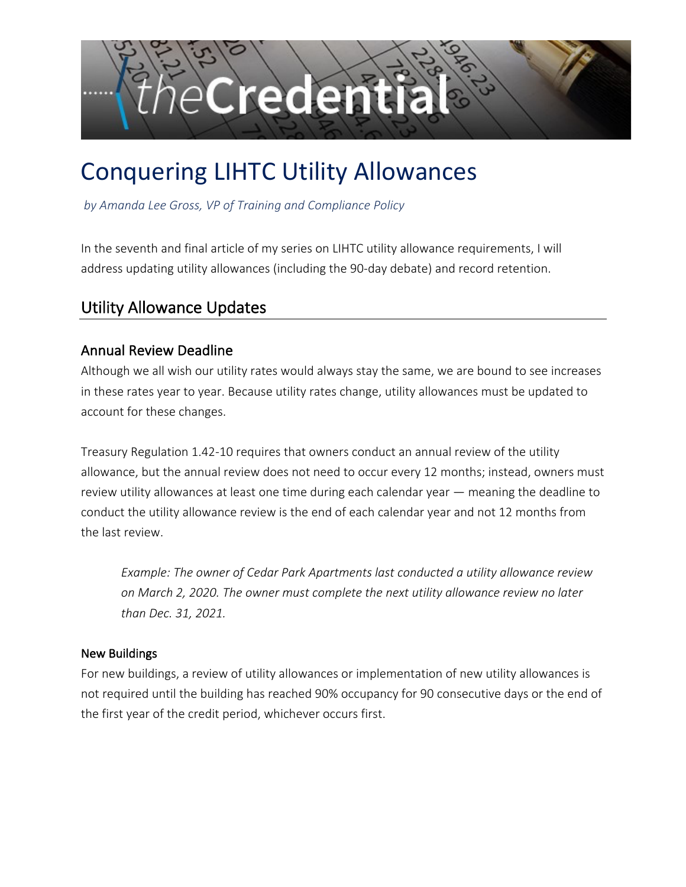

# Conquering LIHTC Utility Allowances

*by Amanda Lee Gross, VP of Training and Compliance Policy* 

In the seventh and final article of my series on LIHTC utility allowance requirements, I will address updating utility allowances (including the 90-day debate) and record retention.

# Utility Allowance Updates

# Annual Review Deadline

Although we all wish our utility rates would always stay the same, we are bound to see increases in these rates year to year. Because utility rates change, utility allowances must be updated to account for these changes.

Treasury Regulation 1.42-10 requires that owners conduct an annual review of the utility allowance, but the annual review does not need to occur every 12 months; instead, owners must review utility allowances at least one time during each calendar year — meaning the deadline to conduct the utility allowance review is the end of each calendar year and not 12 months from the last review.

*Example: The owner of Cedar Park Apartments last conducted a utility allowance review on March 2, 2020. The owner must complete the next utility allowance review no later than Dec. 31, 2021.* 

#### New Buildings

For new buildings, a review of utility allowances or implementation of new utility allowances is not required until the building has reached 90% occupancy for 90 consecutive days or the end of the first year of the credit period, whichever occurs first.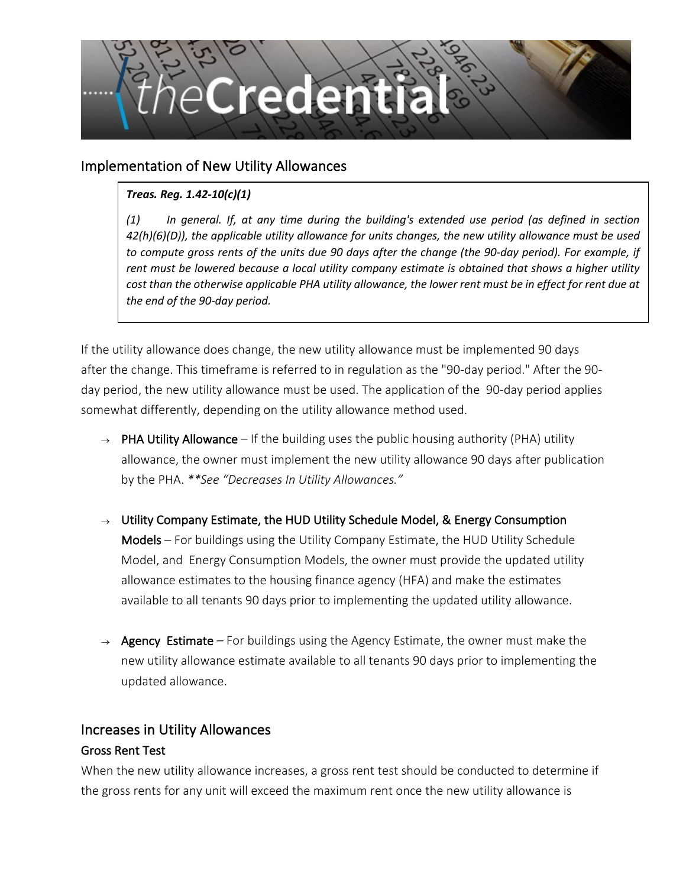

## Implementation of New Utility Allowances

#### *Treas. Reg. 1.42-10(c)(1)*

*(1) In general. If, at any time during the building's extended use period (as defined in section 42(h)(6)(D)), the applicable utility allowance for units changes, the new utility allowance must be used to compute gross rents of the units due 90 days after the change (the 90-day period). For example, if rent must be lowered because a local utility company estimate is obtained that shows a higher utility cost than the otherwise applicable PHA utility allowance, the lower rent must be in effect for rent due at the end of the 90-day period.*

If the utility allowance does change, the new utility allowance must be implemented 90 days after the change. This timeframe is referred to in regulation as the "90-day period." After the 90 day period, the new utility allowance must be used. The application of the 90-day period applies somewhat differently, depending on the utility allowance method used.

- $\rightarrow$  PHA Utility Allowance If the building uses the public housing authority (PHA) utility allowance, the owner must implement the new utility allowance 90 days after publication by the PHA. *\*\*See "Decreases In Utility Allowances."*
- $\rightarrow$  Utility Company Estimate, the HUD Utility Schedule Model, & Energy Consumption Models – For buildings using the Utility Company Estimate, the HUD Utility Schedule Model, and Energy Consumption Models, the owner must provide the updated utility allowance estimates to the housing finance agency (HFA) and make the estimates available to all tenants 90 days prior to implementing the updated utility allowance.
- $\rightarrow$  Agency Estimate For buildings using the Agency Estimate, the owner must make the new utility allowance estimate available to all tenants 90 days prior to implementing the updated allowance.

#### Increases in Utility Allowances

#### Gross Rent Test

When the new utility allowance increases, a gross rent test should be conducted to determine if the gross rents for any unit will exceed the maximum rent once the new utility allowance is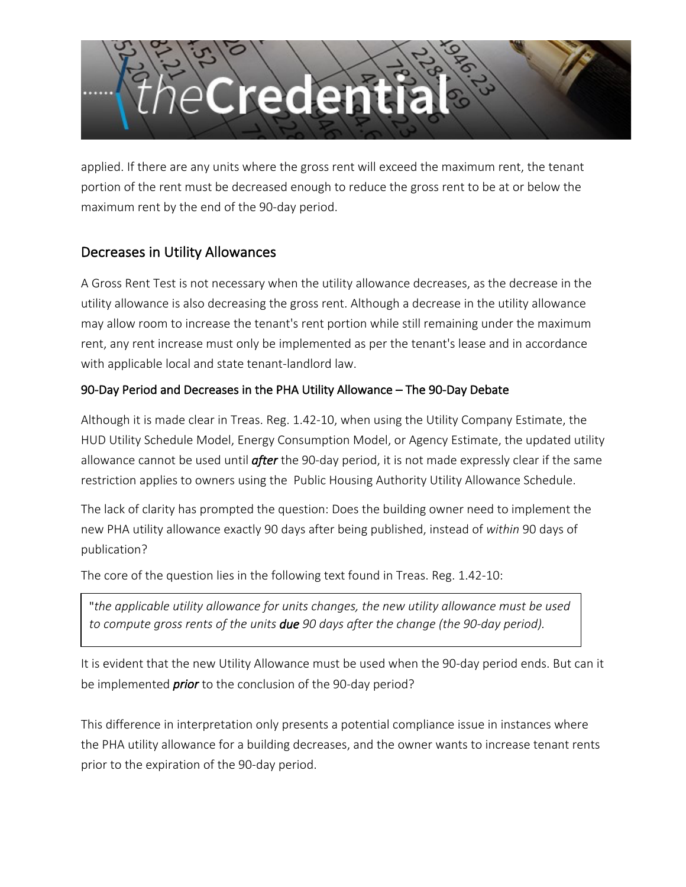

applied. If there are any units where the gross rent will exceed the maximum rent, the tenant portion of the rent must be decreased enough to reduce the gross rent to be at or below the maximum rent by the end of the 90-day period.

# Decreases in Utility Allowances

A Gross Rent Test is not necessary when the utility allowance decreases, as the decrease in the utility allowance is also decreasing the gross rent. Although a decrease in the utility allowance may allow room to increase the tenant's rent portion while still remaining under the maximum rent, any rent increase must only be implemented as per the tenant's lease and in accordance with applicable local and state tenant-landlord law.

### 90-Day Period and Decreases in the PHA Utility Allowance – The 90-Day Debate

Although it is made clear in Treas. Reg. 1.42-10, when using the Utility Company Estimate, the HUD Utility Schedule Model, Energy Consumption Model, or Agency Estimate, the updated utility allowance cannot be used until *after* the 90-day period, it is not made expressly clear if the same restriction applies to owners using the Public Housing Authority Utility Allowance Schedule.

The lack of clarity has prompted the question: Does the building owner need to implement the new PHA utility allowance exactly 90 days after being published, instead of *within* 90 days of publication?

The core of the question lies in the following text found in Treas. Reg. 1.42-10:

"*the applicable utility allowance for units changes, the new utility allowance must be used to compute gross rents of the units due 90 days after the change (the 90-day period).*

It is evident that the new Utility Allowance must be used when the 90-day period ends. But can it be implemented *prior* to the conclusion of the 90-day period?

This difference in interpretation only presents a potential compliance issue in instances where the PHA utility allowance for a building decreases, and the owner wants to increase tenant rents prior to the expiration of the 90-day period.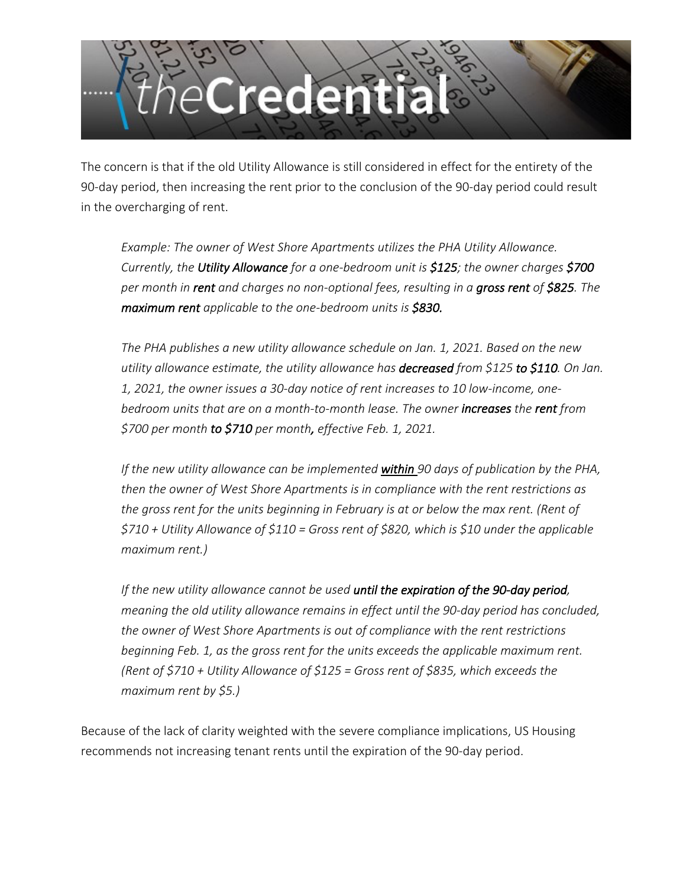

The concern is that if the old Utility Allowance is still considered in effect for the entirety of the 90-day period, then increasing the rent prior to the conclusion of the 90-day period could result in the overcharging of rent.

*Example: The owner of West Shore Apartments utilizes the PHA Utility Allowance. Currently, the Utility Allowance for a one-bedroom unit is \$125; the owner charges \$700 per month in rent and charges no non-optional fees, resulting in a gross rent of \$825. The maximum rent applicable to the one-bedroom units is \$830.* 

*The PHA publishes a new utility allowance schedule on Jan. 1, 2021. Based on the new utility allowance estimate, the utility allowance has decreased from \$125 to \$110. On Jan. 1, 2021, the owner issues a 30-day notice of rent increases to 10 low-income, onebedroom units that are on a month-to-month lease. The owner increases the rent from \$700 per month to \$710 per month, effective Feb. 1, 2021.* 

*If the new utility allowance can be implemented within 90 days of publication by the PHA, then the owner of West Shore Apartments is in compliance with the rent restrictions as the gross rent for the units beginning in February is at or below the max rent. (Rent of \$710 + Utility Allowance of \$110 = Gross rent of \$820, which is \$10 under the applicable maximum rent.)*

*If the new utility allowance cannot be used until the expiration of the 90-day period, meaning the old utility allowance remains in effect until the 90-day period has concluded, the owner of West Shore Apartments is out of compliance with the rent restrictions beginning Feb. 1, as the gross rent for the units exceeds the applicable maximum rent. (Rent of \$710 + Utility Allowance of \$125 = Gross rent of \$835, which exceeds the maximum rent by \$5.)*

Because of the lack of clarity weighted with the severe compliance implications, US Housing recommends not increasing tenant rents until the expiration of the 90-day period.